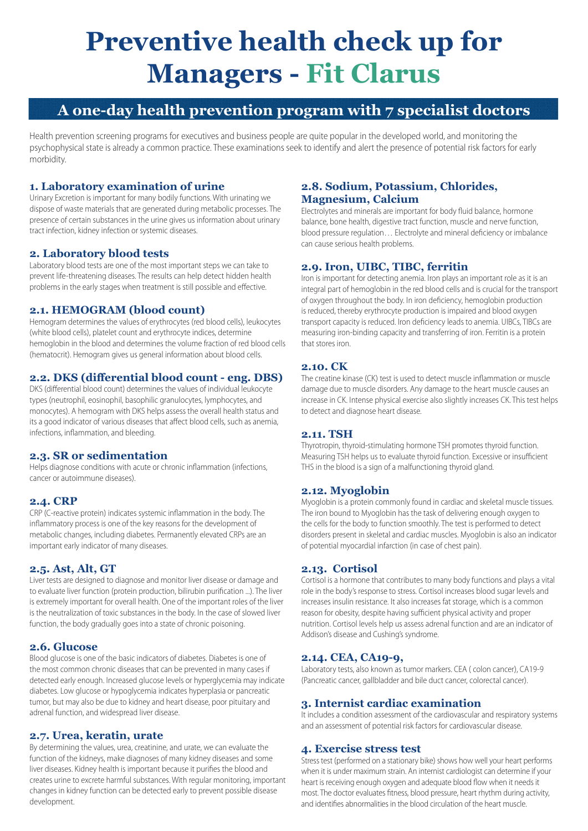# **Preventive health check up for Managers - Fit Clarus**

### **A one-day health prevention program with 7 specialist doctors**

Health prevention screening programs for executives and business people are quite popular in the developed world, and monitoring the psychophysical state is already a common practice. These examinations seek to identify and alert the presence of potential risk factors for early morbidity.

#### **1. Laboratory examination of urine**

Urinary Excretion is important for many bodily functions. With urinating we dispose of waste materials that are generated during metabolic processes. The presence of certain substances in the urine gives us information about urinary tract infection, kidney infection or systemic diseases.

#### **2. Laboratory blood tests**

Laboratory blood tests are one of the most important steps we can take to prevent life-threatening diseases. The results can help detect hidden health problems in the early stages when treatment is still possible and effective.

#### **2.1. HEMOGRAM (blood count)**

Hemogram determines the values of erythrocytes (red blood cells), leukocytes (white blood cells), platelet count and erythrocyte indices, determine hemoglobin in the blood and determines the volume fraction of red blood cells (hematocrit). Hemogram gives us general information about blood cells.

#### **2.2. DKS (differential blood count - eng. DBS)**

DKS (differential blood count) determines the values of individual leukocyte types (neutrophil, eosinophil, basophilic granulocytes, lymphocytes, and monocytes). A hemogram with DKS helps assess the overall health status and its a good indicator of various diseases that affect blood cells, such as anemia, infections, inflammation, and bleeding.

#### **2.3. SR or sedimentation**

Helps diagnose conditions with acute or chronic inflammation (infections, cancer or autoimmune diseases).

#### **2.4. CRP**

CRP (C-reactive protein) indicates systemic inflammation in the body. The inflammatory process is one of the key reasons for the development of metabolic changes, including diabetes. Permanently elevated CRPs are an important early indicator of many diseases.

#### **2.5. Ast, Alt, GT**

Liver tests are designed to diagnose and monitor liver disease or damage and to evaluate liver function (protein production, bilirubin purification ...). The liver is extremely important for overall health. One of the important roles of the liver is the neutralization of toxic substances in the body. In the case of slowed liver function, the body gradually goes into a state of chronic poisoning.

#### **2.6. Glucose**

Blood glucose is one of the basic indicators of diabetes. Diabetes is one of the most common chronic diseases that can be prevented in many cases if detected early enough. Increased glucose levels or hyperglycemia may indicate diabetes. Low glucose or hypoglycemia indicates hyperplasia or pancreatic tumor, but may also be due to kidney and heart disease, poor pituitary and adrenal function, and widespread liver disease.

#### **2.7. Urea, keratin, urate**

By determining the values, urea, creatinine, and urate, we can evaluate the function of the kidneys, make diagnoses of many kidney diseases and some liver diseases. Kidney health is important because it purifies the blood and creates urine to excrete harmful substances. With regular monitoring, important changes in kidney function can be detected early to prevent possible disease development.

#### **2.8. Sodium, Potassium, Chlorides, Magnesium, Calcium**

Electrolytes and minerals are important for body fluid balance, hormone balance, bone health, digestive tract function, muscle and nerve function, blood pressure regulation… Electrolyte and mineral deficiency or imbalance can cause serious health problems.

#### **2.9. Iron, UIBC, TIBC, ferritin**

Iron is important for detecting anemia. Iron plays an important role as it is an integral part of hemoglobin in the red blood cells and is crucial for the transport of oxygen throughout the body. In iron deficiency, hemoglobin production is reduced, thereby erythrocyte production is impaired and blood oxygen transport capacity is reduced. Iron deficiency leads to anemia. UIBCs, TIBCs are measuring iron-binding capacity and transferring of iron. Ferritin is a protein that stores iron.

#### **2.10. CK**

The creatine kinase (CK) test is used to detect muscle inflammation or muscle damage due to muscle disorders. Any damage to the heart muscle causes an increase in CK. Intense physical exercise also slightly increases CK. This test helps to detect and diagnose heart disease.

#### **2.11. TSH**

Thyrotropin, thyroid-stimulating hormone TSH promotes thyroid function. Measuring TSH helps us to evaluate thyroid function. Excessive or insufficient THS in the blood is a sign of a malfunctioning thyroid gland.

#### **2.12. Myoglobin**

Myoglobin is a protein commonly found in cardiac and skeletal muscle tissues. The iron bound to Myoglobin has the task of delivering enough oxygen to the cells for the body to function smoothly. The test is performed to detect disorders present in skeletal and cardiac muscles. Myoglobin is also an indicator of potential myocardial infarction (in case of chest pain).

#### **2.13. Cortisol**

Cortisol is a hormone that contributes to many body functions and plays a vital role in the body's response to stress. Cortisol increases blood sugar levels and increases insulin resistance. It also increases fat storage, which is a common reason for obesity, despite having sufficient physical activity and proper nutrition. Cortisol levels help us assess adrenal function and are an indicator of Addison's disease and Cushing's syndrome.

#### **2.14. CEA, CA19-9,**

Laboratory tests, also known as tumor markers. CEA ( colon cancer), CA19-9 (Pancreatic cancer, gallbladder and bile duct cancer, colorectal cancer).

#### **3. Internist cardiac examination**

It includes a condition assessment of the cardiovascular and respiratory systems and an assessment of potential risk factors for cardiovascular disease.

#### **4. Exercise stress test**

Stress test (performed on a stationary bike) shows how well your heart performs when it is under maximum strain. An internist cardiologist can determine if your heart is receiving enough oxygen and adequate blood flow when it needs it most. The doctor evaluates fitness, blood pressure, heart rhythm during activity, and identifies abnormalities in the blood circulation of the heart muscle.